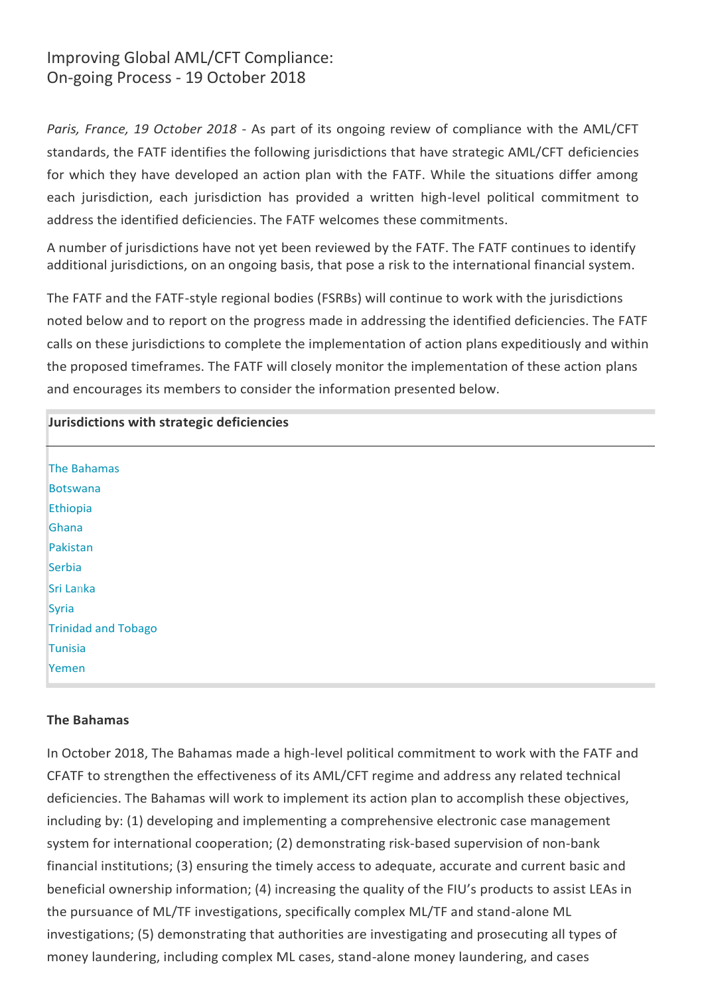# Improving Global AML/CFT Compliance: On-going Process - 19 October 2018

*Paris, France, 19 October 2018* - As part of its ongoing review of compliance with the AML/CFT standards, the FATF identifies the following jurisdictions that have strategic AML/CFT deficiencies for which they have developed an action plan with the FATF. While the situations differ among each jurisdiction, each jurisdiction has provided a written high-level political commitment to address the identified deficiencies. The FATF welcomes these commitments.

A number of jurisdictions have not yet been reviewed by the FATF. The FATF continues to identify additional jurisdictions, on an ongoing basis, that pose a risk to the international financial system.

The FATF and the FATF-style regional bodies (FSRBs) will continue to work with the jurisdictions noted below and to report on the progress made in addressing the identified deficiencies. The FATF calls on these jurisdictions to complete the implementation of action plans expeditiously and within the proposed timeframes. The FATF will closely monitor the implementation of these action plans and encourages its members to consider the information presented below.

| Jurisdictions with strategic deficiencies |
|-------------------------------------------|
| The Bahamas                               |
| <b>Botswana</b>                           |
| Ethiopia                                  |
| Ghana                                     |
| Pakistan                                  |
| Serbia                                    |
| Sri Lanka                                 |
| Syria                                     |
| <b>Trinidad and Tobago</b>                |
| Tunisia                                   |
| Yemen                                     |

# **The Bahamas**

In October 2018, The Bahamas made a high-level political commitment to work with the FATF and CFATF to strengthen the effectiveness of its AML/CFT regime and address any related technical deficiencies. The Bahamas will work to implement its action plan to accomplish these objectives, including by: (1) developing and implementing a comprehensive electronic case management system for international cooperation; (2) demonstrating risk-based supervision of non-bank financial institutions; (3) ensuring the timely access to adequate, accurate and current basic and beneficial ownership information; (4) increasing the quality of the FIU's products to assist LEAs in the pursuance of ML/TF investigations, specifically complex ML/TF and stand-alone ML investigations; (5) demonstrating that authorities are investigating and prosecuting all types of money laundering, including complex ML cases, stand-alone money laundering, and cases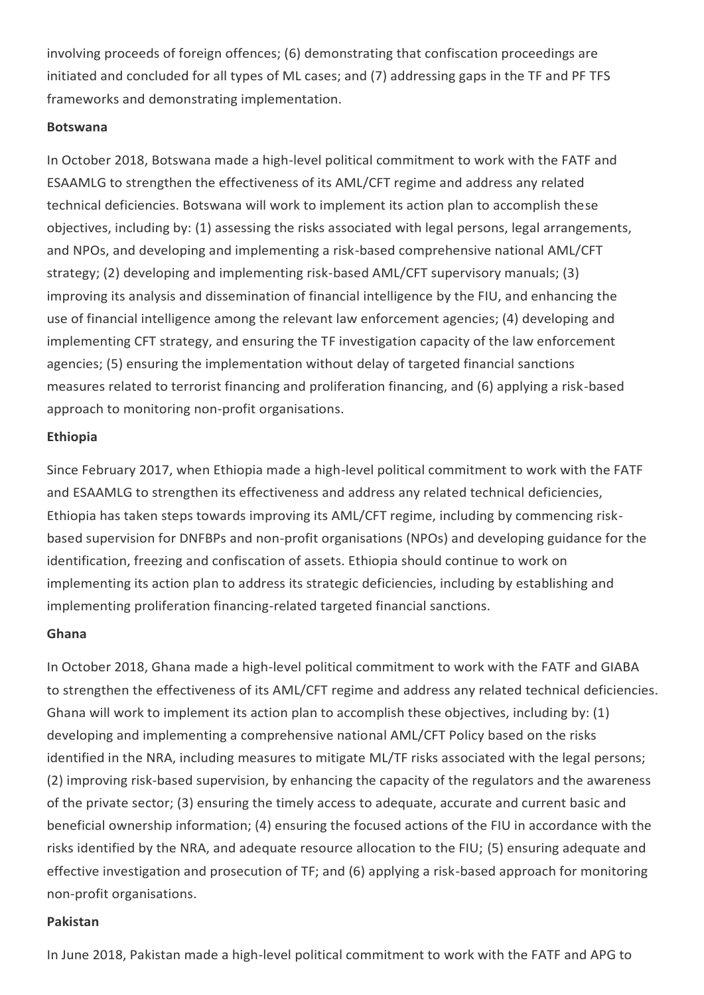involving proceeds of foreign offences; (6) demonstrating that confiscation proceedings are initiated and concluded for all types of ML cases; and (7) addressing gaps in the TF and PF TFS frameworks and demonstrating implementation.

### **Botswana**

In October 2018, Botswana made a high-level political commitment to work with the FATF and ESAAMLG to strengthen the effectiveness of its AML/CFT regime and address any related technical deficiencies. Botswana will work to implement its action plan to accomplish these objectives, including by: (1) assessing the risks associated with legal persons, legal arrangements, and NPOs, and developing and implementing a risk-based comprehensive national AML/CFT strategy; (2) developing and implementing risk-based AML/CFT supervisory manuals; (3) improving its analysis and dissemination of financial intelligence by the FIU, and enhancing the use of financial intelligence among the relevant law enforcement agencies; (4) developing and implementing CFT strategy, and ensuring the TF investigation capacity of the law enforcement agencies; (5) ensuring the implementation without delay of targeted financial sanctions measures related to terrorist financing and proliferation financing, and (6) applying a risk-based approach to monitoring non-profit organisations.

# **Ethiopia**

Since February 2017, when Ethiopia made a high-level political commitment to work with the FATF and ESAAMLG to strengthen its effectiveness and address any related technical deficiencies, Ethiopia has taken steps towards improving its AML/CFT regime, including by commencing riskbased supervision for DNFBPs and non-profit organisations (NPOs) and developing guidance for the identification, freezing and confiscation of assets. Ethiopia should continue to work on implementing its action plan to address its strategic deficiencies, including by establishing and implementing proliferation financing-related targeted financial sanctions.

# **Ghana**

In October 2018, Ghana made a high-level political commitment to work with the FATF and GIABA to strengthen the effectiveness of its AML/CFT regime and address any related technical deficiencies. Ghana will work to implement its action plan to accomplish these objectives, including by: (1) developing and implementing a comprehensive national AML/CFT Policy based on the risks identified in the NRA, including measures to mitigate ML/TF risks associated with the legal persons; (2) improving risk-based supervision, by enhancing the capacity of the regulators and the awareness of the private sector; (3) ensuring the timely access to adequate, accurate and current basic and beneficial ownership information; (4) ensuring the focused actions of the FIU in accordance with the risks identified by the NRA, and adequate resource allocation to the FIU; (5) ensuring adequate and effective investigation and prosecution of TF; and (6) applying a risk-based approach for monitoring non-profit organisations.

# **Pakistan**

In June 2018, Pakistan made a high-level political commitment to work with the FATF and APG to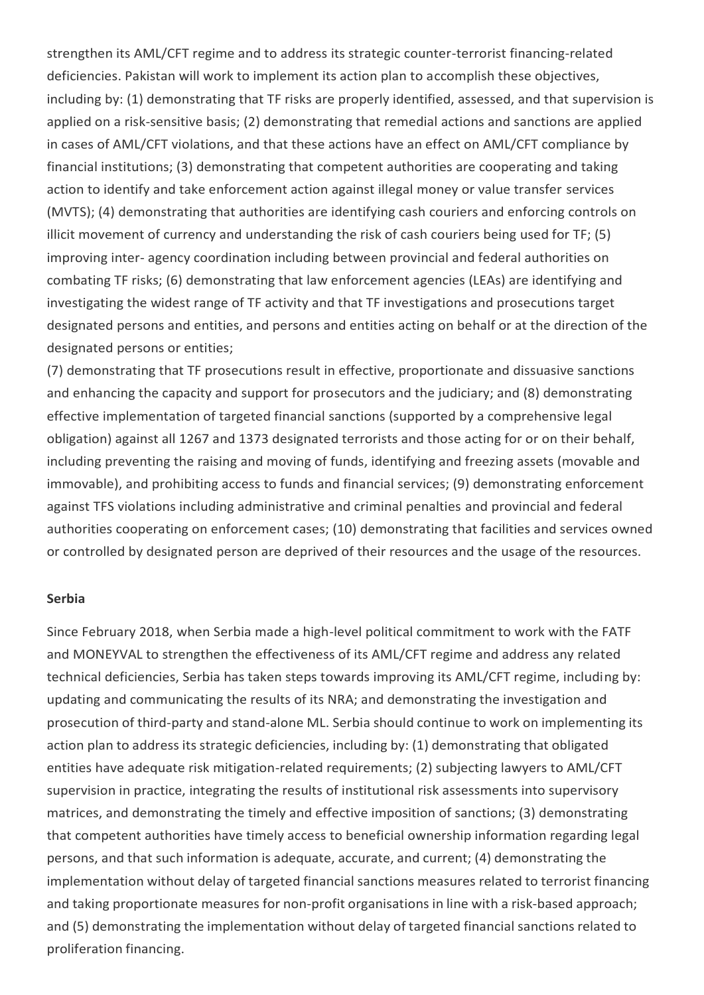strengthen its AML/CFT regime and to address its strategic counter-terrorist financing-related deficiencies. Pakistan will work to implement its action plan to accomplish these objectives, including by: (1) demonstrating that TF risks are properly identified, assessed, and that supervision is applied on a risk-sensitive basis; (2) demonstrating that remedial actions and sanctions are applied in cases of AML/CFT violations, and that these actions have an effect on AML/CFT compliance by financial institutions; (3) demonstrating that competent authorities are cooperating and taking action to identify and take enforcement action against illegal money or value transfer services (MVTS); (4) demonstrating that authorities are identifying cash couriers and enforcing controls on illicit movement of currency and understanding the risk of cash couriers being used for TF; (5) improving inter- agency coordination including between provincial and federal authorities on combating TF risks; (6) demonstrating that law enforcement agencies (LEAs) are identifying and investigating the widest range of TF activity and that TF investigations and prosecutions target designated persons and entities, and persons and entities acting on behalf or at the direction of the designated persons or entities;

(7) demonstrating that TF prosecutions result in effective, proportionate and dissuasive sanctions and enhancing the capacity and support for prosecutors and the judiciary; and (8) demonstrating effective implementation of targeted financial sanctions (supported by a comprehensive legal obligation) against all 1267 and 1373 designated terrorists and those acting for or on their behalf, including preventing the raising and moving of funds, identifying and freezing assets (movable and immovable), and prohibiting access to funds and financial services; (9) demonstrating enforcement against TFS violations including administrative and criminal penalties and provincial and federal authorities cooperating on enforcement cases; (10) demonstrating that facilities and services owned or controlled by designated person are deprived of their resources and the usage of the resources.

#### **Serbia**

Since February 2018, when Serbia made a high-level political commitment to work with the FATF and MONEYVAL to strengthen the effectiveness of its AML/CFT regime and address any related technical deficiencies, Serbia has taken steps towards improving its AML/CFT regime, including by: updating and communicating the results of its NRA; and demonstrating the investigation and prosecution of third-party and stand-alone ML. Serbia should continue to work on implementing its action plan to address its strategic deficiencies, including by: (1) demonstrating that obligated entities have adequate risk mitigation-related requirements; (2) subjecting lawyers to AML/CFT supervision in practice, integrating the results of institutional risk assessments into supervisory matrices, and demonstrating the timely and effective imposition of sanctions; (3) demonstrating that competent authorities have timely access to beneficial ownership information regarding legal persons, and that such information is adequate, accurate, and current; (4) demonstrating the implementation without delay of targeted financial sanctions measures related to terrorist financing and taking proportionate measures for non-profit organisations in line with a risk-based approach; and (5) demonstrating the implementation without delay of targeted financial sanctions related to proliferation financing.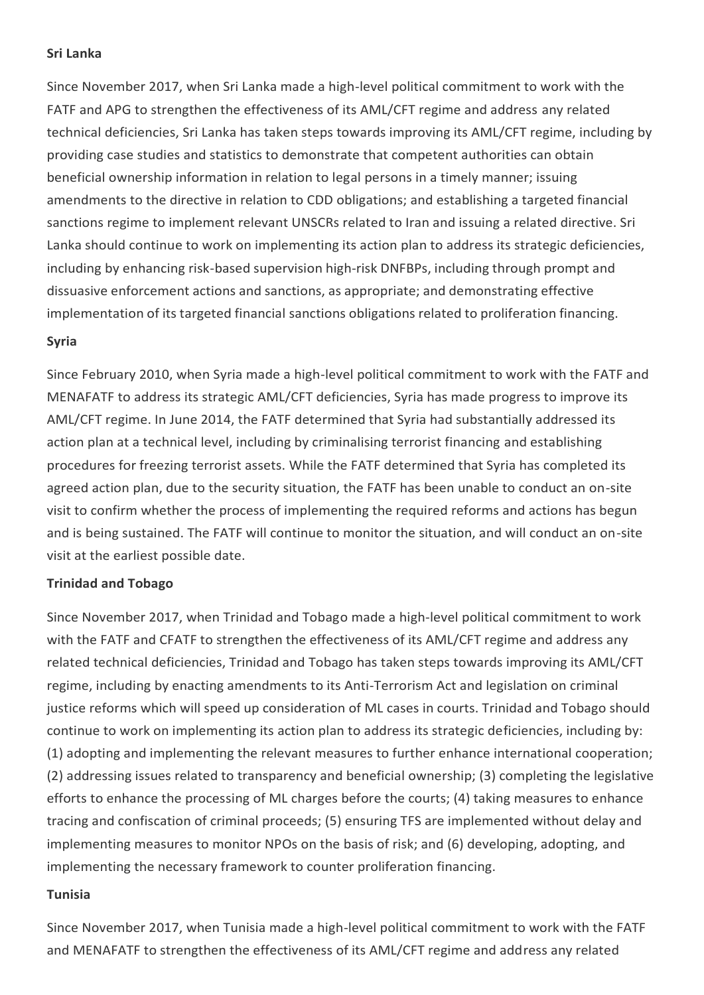### **Sri Lanka**

Since November 2017, when Sri Lanka made a high-level political commitment to work with the FATF and APG to strengthen the effectiveness of its AML/CFT regime and address any related technical deficiencies, Sri Lanka has taken steps towards improving its AML/CFT regime, including by providing case studies and statistics to demonstrate that competent authorities can obtain beneficial ownership information in relation to legal persons in a timely manner; issuing amendments to the directive in relation to CDD obligations; and establishing a targeted financial sanctions regime to implement relevant UNSCRs related to Iran and issuing a related directive. Sri Lanka should continue to work on implementing its action plan to address its strategic deficiencies, including by enhancing risk-based supervision high-risk DNFBPs, including through prompt and dissuasive enforcement actions and sanctions, as appropriate; and demonstrating effective implementation of its targeted financial sanctions obligations related to proliferation financing.

### **Syria**

Since February 2010, when Syria made a high-level political commitment to work with the FATF and MENAFATF to address its strategic AML/CFT deficiencies, Syria has made progress to improve its AML/CFT regime. In June 2014, the FATF determined that Syria had substantially addressed its action plan at a technical level, including by criminalising terrorist financing and establishing procedures for freezing terrorist assets. While the FATF determined that Syria has completed its agreed action plan, due to the security situation, the FATF has been unable to conduct an on-site visit to confirm whether the process of implementing the required reforms and actions has begun and is being sustained. The FATF will continue to monitor the situation, and will conduct an on-site visit at the earliest possible date.

### **Trinidad and Tobago**

Since November 2017, when Trinidad and Tobago made a high-level political commitment to work with the FATF and CFATF to strengthen the effectiveness of its AML/CFT regime and address any related technical deficiencies, Trinidad and Tobago has taken steps towards improving its AML/CFT regime, including by enacting amendments to its Anti-Terrorism Act and legislation on criminal justice reforms which will speed up consideration of ML cases in courts. Trinidad and Tobago should continue to work on implementing its action plan to address its strategic deficiencies, including by: (1) adopting and implementing the relevant measures to further enhance international cooperation; (2) addressing issues related to transparency and beneficial ownership; (3) completing the legislative efforts to enhance the processing of ML charges before the courts; (4) taking measures to enhance tracing and confiscation of criminal proceeds; (5) ensuring TFS are implemented without delay and implementing measures to monitor NPOs on the basis of risk; and (6) developing, adopting, and implementing the necessary framework to counter proliferation financing.

### **Tunisia**

Since November 2017, when Tunisia made a high-level political commitment to work with the FATF and MENAFATF to strengthen the effectiveness of its AML/CFT regime and address any related